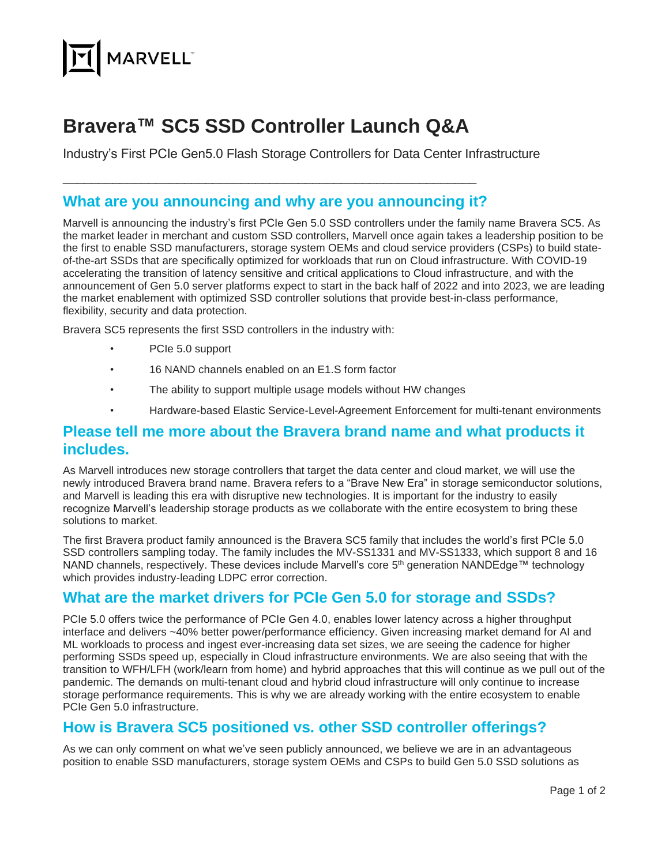

# **Bravera™ SC5 SSD Controller Launch Q&A**

Industry's First PCIe Gen5.0 Flash Storage Controllers for Data Center Infrastructure

## **What are you announcing and why are you announcing it?**

\_\_\_\_\_\_\_\_\_\_\_\_\_\_\_\_\_\_\_\_\_\_\_\_\_\_\_\_\_\_\_\_\_\_\_\_\_\_\_\_\_\_\_\_\_\_\_\_\_\_\_\_\_\_\_\_\_\_

Marvell is announcing the industry's first PCIe Gen 5.0 SSD controllers under the family name Bravera SC5. As the market leader in merchant and custom SSD controllers, Marvell once again takes a leadership position to be the first to enable SSD manufacturers, storage system OEMs and cloud service providers (CSPs) to build stateof-the-art SSDs that are specifically optimized for workloads that run on Cloud infrastructure. With COVID-19 accelerating the transition of latency sensitive and critical applications to Cloud infrastructure, and with the announcement of Gen 5.0 server platforms expect to start in the back half of 2022 and into 2023, we are leading the market enablement with optimized SSD controller solutions that provide best-in-class performance, flexibility, security and data protection.

Bravera SC5 represents the first SSD controllers in the industry with:

- PCIe 5.0 support
- 16 NAND channels enabled on an E1.S form factor
- The ability to support multiple usage models without HW changes
- Hardware-based Elastic Service-Level-Agreement Enforcement for multi-tenant environments

#### **Please tell me more about the Bravera brand name and what products it includes.**

As Marvell introduces new storage controllers that target the data center and cloud market, we will use the newly introduced Bravera brand name. Bravera refers to a "Brave New Era" in storage semiconductor solutions, and Marvell is leading this era with disruptive new technologies. It is important for the industry to easily recognize Marvell's leadership storage products as we collaborate with the entire ecosystem to bring these solutions to market.

The first Bravera product family announced is the Bravera SC5 family that includes the world's first PCIe 5.0 SSD controllers sampling today. The family includes the MV-SS1331 and MV-SS1333, which support 8 and 16 NAND channels, respectively. These devices include Marvell's core 5<sup>th</sup> generation NANDEdge™ technology which provides industry-leading LDPC error correction.

## **What are the market drivers for PCIe Gen 5.0 for storage and SSDs?**

PCIe 5.0 offers twice the performance of PCIe Gen 4.0, enables lower latency across a higher throughput interface and delivers ~40% better power/performance efficiency. Given increasing market demand for AI and ML workloads to process and ingest ever-increasing data set sizes, we are seeing the cadence for higher performing SSDs speed up, especially in Cloud infrastructure environments. We are also seeing that with the transition to WFH/LFH (work/learn from home) and hybrid approaches that this will continue as we pull out of the pandemic. The demands on multi-tenant cloud and hybrid cloud infrastructure will only continue to increase storage performance requirements. This is why we are already working with the entire ecosystem to enable PCIe Gen 5.0 infrastructure.

# **How is Bravera SC5 positioned vs. other SSD controller offerings?**

As we can only comment on what we've seen publicly announced, we believe we are in an advantageous position to enable SSD manufacturers, storage system OEMs and CSPs to build Gen 5.0 SSD solutions as